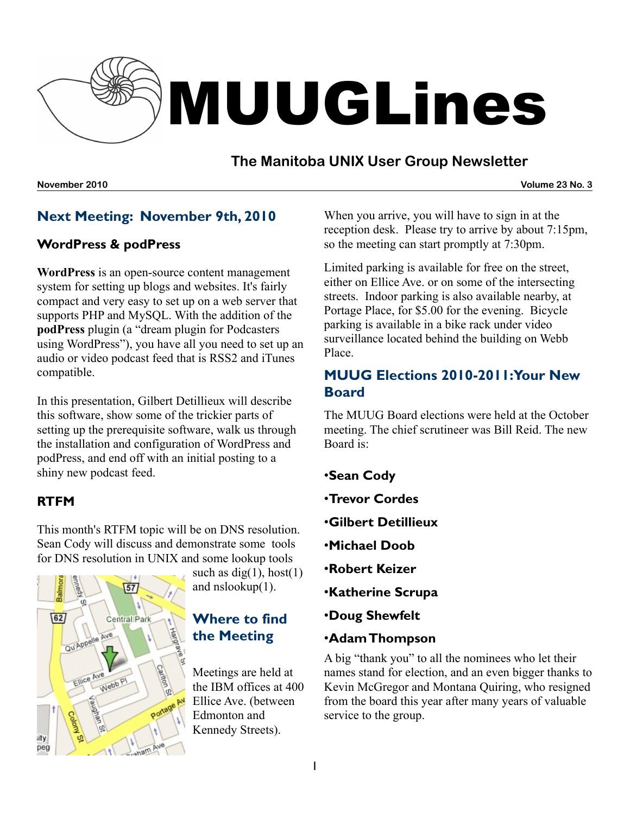

# **The Manitoba UNIX User Group Newsletter**

**November 2010 Volume 23 No. 3**

# **Next Meeting: November 9th, 2010**

## **WordPress & podPress**

**[WordPress](http://wordpress.org/)** is an open-source content management system for setting up blogs and websites. It's fairly compact and very easy to set up on a web server that supports PHP and MySQL. With the addition of the **[podPress](http://www.mightyseek.com/podpress)** plugin (a "dream plugin for Podcasters using WordPress"), you have all you need to set up an audio or video podcast feed that is RSS2 and iTunes compatible.

In this presentation, Gilbert Detillieux will describe this software, show some of the trickier parts of setting up the prerequisite software, walk us through the installation and configuration of WordPress and podPress, and end off with an initial posting to a shiny new podcast feed.

## **RTFM**

This month's RTFM topic will be on DNS resolution. Sean Cody will discuss and demonstrate some tools for DNS resolution in UNIX and some lookup tools



such as  $dig(1)$ , host $(1)$ and nslookup(1).

# **Where to find the Meeting**

Meetings are held at the IBM offices at 400 Ellice Ave. (between Edmonton and Kennedy Streets).

When you arrive, you will have to sign in at the reception desk. Please try to arrive by about 7:15pm, so the meeting can start promptly at 7:30pm.

Limited parking is available for free on the street, either on Ellice Ave. or on some of the intersecting streets. Indoor parking is also available nearby, at Portage Place, for \$5.00 for the evening. Bicycle parking is available in a bike rack under video surveillance located behind the building on Webb Place.

# **MUUG Elections 2010-2011:Your New Board**

The MUUG Board elections were held at the October meeting. The chief scrutineer was Bill Reid. The new Board is:

- •**Sean Cody**
- •**Trevor Cordes**
- •**Gilbert Detillieux**
- •**Michael Doob**
- •**Robert Keizer**
- •**Katherine Scrupa**
- •**Doug Shewfelt**
- •**Adam Thompson**

A big "thank you" to all the nominees who let their names stand for election, and an even bigger thanks to Kevin McGregor and Montana Quiring, who resigned from the board this year after many years of valuable service to the group.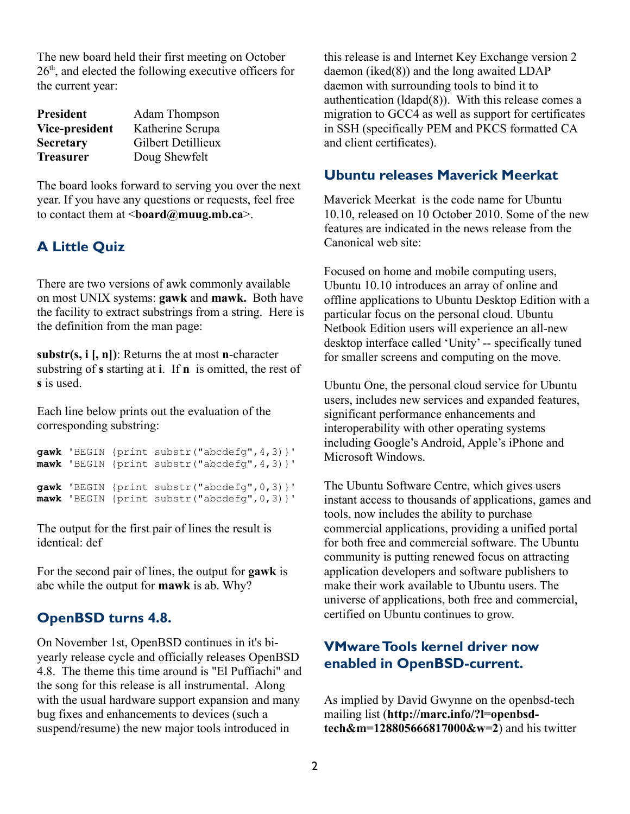The new board held their first meeting on October 26<sup>th</sup>, and elected the following executive officers for the current year:

| <b>President</b> | <b>Adam Thompson</b> |
|------------------|----------------------|
| Vice-president   | Katherine Scrupa     |
| <b>Secretary</b> | Gilbert Detillieux   |
| <b>Treasurer</b> | Doug Shewfelt        |

The board looks forward to serving you over the next year. If you have any questions or requests, feel free to contact them at <**[board@muug.mb.ca](mailto:board@muug.mb.ca)**>.

## **A Little Quiz**

There are two versions of awk commonly available on most UNIX systems: **gawk** and **mawk.** Both have the facility to extract substrings from a string. Here is the definition from the man page:

**substr(s, i [, n])**: Returns the at most **n**-character substring of **s** starting at **i**. If **n** is omitted, the rest of **s** is used.

Each line below prints out the evaluation of the corresponding substring:

**gawk** 'BEGIN {print substr("abcdefg",4,3)}' **mawk** 'BEGIN {print substr("abcdefg",4,3)}' **gawk** 'BEGIN {print substr("abcdefg",0,3)}' **mawk** 'BEGIN {print substr("abcdefg",0,3)}'

The output for the first pair of lines the result is identical: def

For the second pair of lines, the output for **gawk** is abc while the output for **mawk** is ab. Why?

## **OpenBSD turns 4.8.**

On November 1st, OpenBSD continues in it's biyearly release cycle and officially releases OpenBSD 4.8. The theme this time around is "El Puffiachi" and the song for this release is all instrumental. Along with the usual hardware support expansion and many bug fixes and enhancements to devices (such a suspend/resume) the new major tools introduced in

this release is and Internet Key Exchange version 2 daemon (iked(8)) and the long awaited LDAP daemon with surrounding tools to bind it to authentication (ldapd(8)). With this release comes a migration to GCC4 as well as support for certificates in SSH (specifically PEM and PKCS formatted CA and client certificates).

# **Ubuntu releases Maverick Meerkat**

Maverick Meerkat is the code name for Ubuntu 10.10, released on 10 October 2010. Some of the new features are indicated in the news release from the Canonical web site:

Focused on home and mobile computing users, Ubuntu 10.10 introduces an array of online and offline applications to Ubuntu Desktop Edition with a particular focus on the personal cloud. Ubuntu Netbook Edition users will experience an all-new desktop interface called 'Unity' -- specifically tuned for smaller screens and computing on the move.

Ubuntu One, the personal cloud service for Ubuntu users, includes new services and expanded features, significant performance enhancements and interoperability with other operating systems including Google's Android, Apple's iPhone and Microsoft Windows.

The Ubuntu Software Centre, which gives users instant access to thousands of applications, games and tools, now includes the ability to purchase commercial applications, providing a unified portal for both free and commercial software. The Ubuntu community is putting renewed focus on attracting application developers and software publishers to make their work available to Ubuntu users. The universe of applications, both free and commercial, certified on Ubuntu continues to grow.

## **VMwareTools kernel driver now enabled in OpenBSD-current.**

As implied by David Gwynne on the openbsd-tech mailing list (**[http://marc.info/?l=openbsd](http://marc.info/?l=openbsd-tech&m=128805666817000&w=2)[tech&m=128805666817000&w=2](http://marc.info/?l=openbsd-tech&m=128805666817000&w=2)**) and his twitter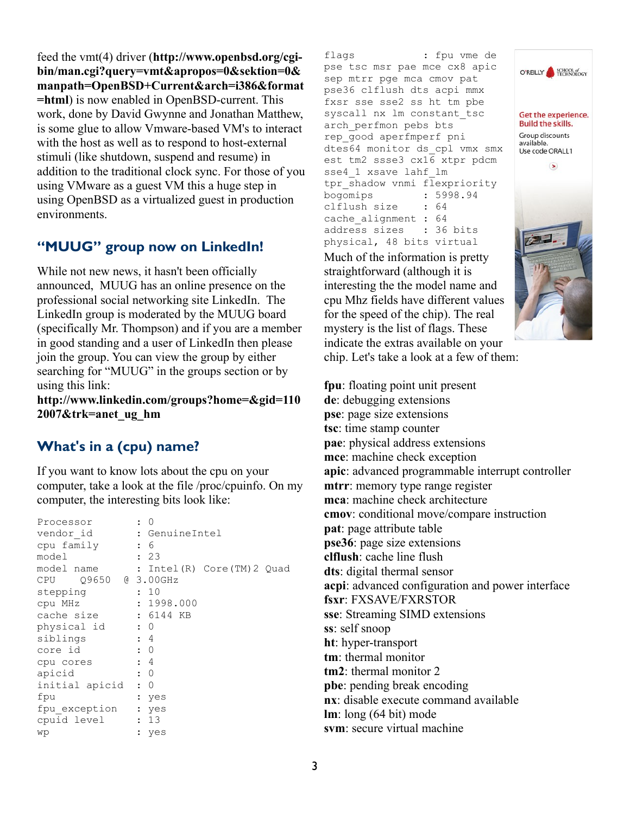feed the vmt(4) driver (**[http://www.openbsd.org/cgi](http://www.openbsd.org/cgi-bin/man.cgi?query=vmt&apropos=0&sektion=0&manpath=OpenBSD+Current&arch=i386&format=html)bin/man.cgi?query=vmt&apropos=0&sektion=0& [manpath=OpenBSD+Current&arch=i386&format](http://www.openbsd.org/cgi-bin/man.cgi?query=vmt&apropos=0&sektion=0&manpath=OpenBSD+Current&arch=i386&format=html) [=html](http://www.openbsd.org/cgi-bin/man.cgi?query=vmt&apropos=0&sektion=0&manpath=OpenBSD+Current&arch=i386&format=html)**) is now enabled in OpenBSD-current. This work, done by David Gwynne and Jonathan Matthew, is some glue to allow Vmware-based VM's to interact with the host as well as to respond to host-external stimuli (like shutdown, suspend and resume) in addition to the traditional clock sync. For those of you using VMware as a guest VM this a huge step in using OpenBSD as a virtualized guest in production environments.

## **"MUUG" group now on LinkedIn!**

While not new news, it hasn't been officially announced, MUUG has an online presence on the professional social networking site LinkedIn. The LinkedIn group is moderated by the MUUG board (specifically Mr. Thompson) and if you are a member in good standing and a user of LinkedIn then please join the group. You can view the group by either searching for "MUUG" in the groups section or by using this link:

**[http://www.linkedin.com/groups?home=&gid=110](http://www.linkedin.com/groups?home=&gid=1102007&trk=anet_ug_hm) [2007&trk=anet\\_ug\\_hm](http://www.linkedin.com/groups?home=&gid=1102007&trk=anet_ug_hm)**

## **What's in a (cpu) name?**

If you want to know lots about the cpu on your computer, take a look at the file /proc/cpuinfo. On my computer, the interesting bits look like:

| Processor                 |                | : 0            |                           |  |
|---------------------------|----------------|----------------|---------------------------|--|
| vendor id                 |                | : GenuineIntel |                           |  |
| cpu family                |                | : 6            |                           |  |
| model                     |                | : 23           |                           |  |
| model name                |                |                | : Intel(R) Core(TM)2 Quad |  |
| CPU    Q9650    @ 3.00GHz |                |                |                           |  |
| stepping                  |                | : 10           |                           |  |
| cpu MHz                   |                | : 1998.000     |                           |  |
| cache size                |                | : 6144 KB      |                           |  |
| physical id               | $\colon 0$     |                |                           |  |
| siblings                  | $\therefore$ 4 |                |                           |  |
| core id                   |                | $\colon 0$     |                           |  |
| cpu cores                 |                | : 4            |                           |  |
| apicid                    |                | $\overline{0}$ |                           |  |
| initial apicid            | $\ddot{\cdot}$ | $\overline{0}$ |                           |  |
| fpu                       |                | : yes          |                           |  |
| fpu exception             |                | : yes          |                           |  |
| cpuid level               |                | : 13           |                           |  |
| wp                        |                | yes            |                           |  |
|                           |                |                |                           |  |

flags : fpu vme de pse tsc msr pae mce cx8 apic sep mtrr pge mca cmov pat pse36 clflush dts acpi mmx fxsr sse sse2 ss ht tm pbe syscall nx lm constant\_tsc arch perfmon pebs bts rep\_good aperfmperf pni dtes64 monitor ds\_cpl vmx smx est tm2 ssse3 cx16 xtpr pdcm sse4\_1 xsave lahf\_lm tpr shadow vnmi flexpriority bogomips : 5998.94 clflush size : 64 cache alignment : 64 address sizes : 36 bits physical, 48 bits virtual

Much of the information is pretty straightforward (although it is interesting the the model name and cpu Mhz fields have different values for the speed of the chip). The real mystery is the list of flags. These indicate the extras available on your chip. Let's take a look at a few of them:

**fpu**: floating point unit present **de**: debugging extensions **pse**: page size extensions **tsc**: time stamp counter **pae**: physical address extensions **mce**: machine check exception **apic**: advanced programmable interrupt controller **mtrr**: memory type range register **mca**: machine check architecture **cmov**: conditional move/compare instruction **pat**: page attribute table **pse36**: page size extensions **clflush**: cache line flush **dts**: digital thermal sensor **acpi**: advanced configuration and power interface **fsxr**: FXSAVE/FXRSTOR **sse**: Streaming SIMD extensions **ss**: self snoop **ht**: hyper-transport **tm**: thermal monitor **tm2**: thermal monitor 2 **pbe**: pending break encoding **nx**: disable execute command available **lm**: long (64 bit) mode **svm**: secure virtual machine